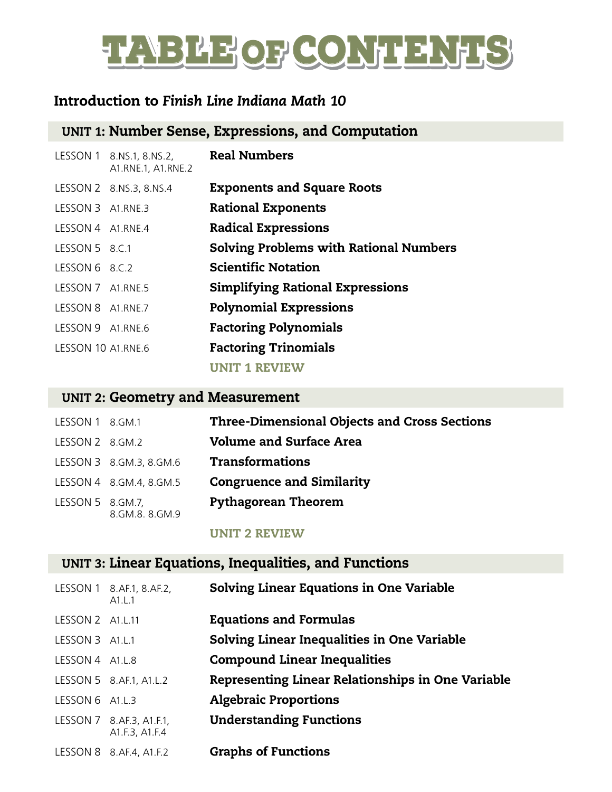# TABLE OF CONTENTS

#### Introduction to *Finish Line Indiana Math 10*

## UNIT 1: Number Sense, Expressions, and Computation

|                    | LESSON 1 8.NS.1, 8.NS.2,<br>A1.RNE.1, A1.RNE.2 | <b>Real Numbers</b>                           |
|--------------------|------------------------------------------------|-----------------------------------------------|
|                    | LESSON 2 8.NS.3, 8.NS.4                        | <b>Exponents and Square Roots</b>             |
| LESSON 3 A1.RNE.3  |                                                | <b>Rational Exponents</b>                     |
| LESSON 4 A1.RNE.4  |                                                | <b>Radical Expressions</b>                    |
| LESSON 5 8.C.1     |                                                | <b>Solving Problems with Rational Numbers</b> |
| LESSON 6 8.C.2     |                                                | <b>Scientific Notation</b>                    |
| LESSON 7 A1.RNE.5  |                                                | <b>Simplifying Rational Expressions</b>       |
| LESSON 8 A1.RNE.7  |                                                | <b>Polynomial Expressions</b>                 |
| LESSON 9 A1.RNE.6  |                                                | <b>Factoring Polynomials</b>                  |
| LESSON 10 A1.RNE.6 |                                                | <b>Factoring Trinomials</b>                   |
|                    |                                                | <b>UNIT 1 REVIEW</b>                          |

#### UNIT 2: Geometry and Measurement

| LESSON 1 8.GM.1  |                         | <b>Three-Dimensional Objects and Cross Sections</b> |
|------------------|-------------------------|-----------------------------------------------------|
| LESSON 2 8.GM.2  |                         | <b>Volume and Surface Area</b>                      |
|                  | LESSON 3 8.GM.3, 8.GM.6 | <b>Transformations</b>                              |
|                  | LESSON 4 8.GM.4, 8.GM.5 | <b>Congruence and Similarity</b>                    |
| LESSON 5 8.GM.7, | 8.GM.8.8.GM.9           | <b>Pythagorean Theorem</b>                          |

#### UNIT 2 REVIEW

#### UNIT 3: Linear Equations, Inequalities, and Functions

|                  | LESSON 1 8.AF.1, 8.AF.2,<br>A1.L.1         | <b>Solving Linear Equations in One Variable</b>          |
|------------------|--------------------------------------------|----------------------------------------------------------|
| LESSON 2 A1.L.11 |                                            | <b>Equations and Formulas</b>                            |
| LESSON 3 A1.L.1  |                                            | Solving Linear Inequalities in One Variable              |
| LESSON 4 A1.L.8  |                                            | <b>Compound Linear Inequalities</b>                      |
|                  | LESSON 5 8.AF.1, A1.L.2                    | <b>Representing Linear Relationships in One Variable</b> |
| LESSON 6 A1.L.3  |                                            | <b>Algebraic Proportions</b>                             |
|                  | LESSON 7 8.AF.3, A1.F.1,<br>A1.F.3, A1.F.4 | <b>Understanding Functions</b>                           |
|                  | LESSON 8 8.AF.4, A1.F.2                    | <b>Graphs of Functions</b>                               |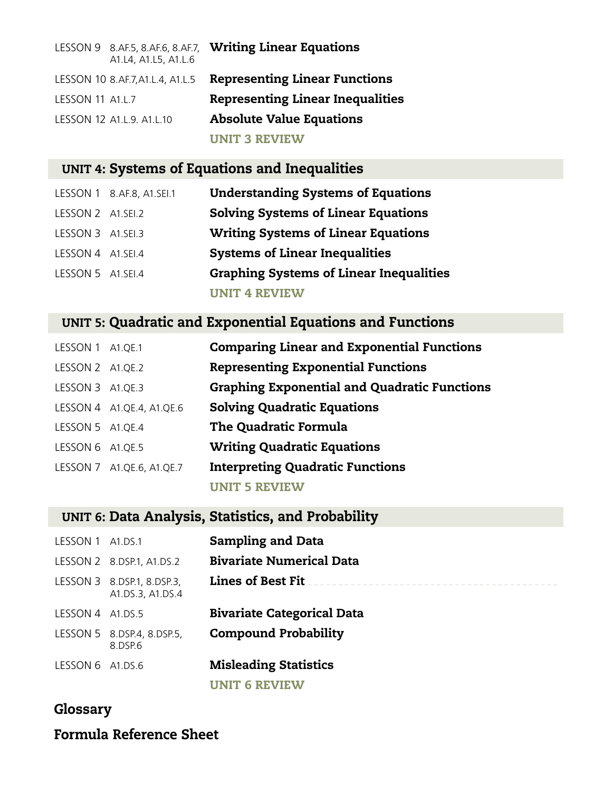|                         | A1.L4, A1.L5, A1.L.6             | LESSON 9 8.AF.5, 8.AF.6, 8.AF.7, Writing Linear Equations |
|-------------------------|----------------------------------|-----------------------------------------------------------|
|                         | LESSON 10 8.AF.7, A1.L.4, A1.L.5 | <b>Representing Linear Functions</b>                      |
| <b>LESSON 11 A1.L.7</b> |                                  | <b>Representing Linear Inequalities</b>                   |
|                         | LESSON 12 A1.L.9. A1.L.10        | <b>Absolute Value Equations</b>                           |
|                         |                                  | <b>UNIT 3 REVIEW</b>                                      |

## UNIT 4: Systems of Equations and Inequalities

|                   | LESSON 1 8.AF.8, A1.SEI.1 | <b>Understanding Systems of Equations</b>      |
|-------------------|---------------------------|------------------------------------------------|
| LESSON 2 A1.SEI.2 |                           | <b>Solving Systems of Linear Equations</b>     |
| LESSON 3 A1.SEI.3 |                           | <b>Writing Systems of Linear Equations</b>     |
| LESSON 4 A1.SEI.4 |                           | <b>Systems of Linear Inequalities</b>          |
| LESSON 5 A1.SEI.4 |                           | <b>Graphing Systems of Linear Inequalities</b> |
|                   |                           | <b>UNIT 4 REVIEW</b>                           |

## UNIT 5: Quadratic and Exponential Equations and Functions

| LESSON 1 A1.QE.1 |                           | <b>Comparing Linear and Exponential Functions</b>   |
|------------------|---------------------------|-----------------------------------------------------|
| LESSON 2 A1.QE.2 |                           | <b>Representing Exponential Functions</b>           |
| LESSON 3 A1.QE.3 |                           | <b>Graphing Exponential and Quadratic Functions</b> |
|                  | LESSON 4 A1.QE.4, A1.QE.6 | <b>Solving Quadratic Equations</b>                  |
| LESSON 5 A1.QE.4 |                           | <b>The Quadratic Formula</b>                        |
| LESSON 6 A1.QE.5 |                           | <b>Writing Quadratic Equations</b>                  |
|                  | LESSON 7 A1.QE.6, A1.QE.7 | <b>Interpreting Quadratic Functions</b>             |
|                  |                           | UNIT 5 REVIEW                                       |

## UNIT 6: Data Analysis, Statistics, and Probability

| LESSON 1 A1.DS.1 |                                                | <b>Sampling and Data</b>          |
|------------------|------------------------------------------------|-----------------------------------|
|                  | LESSON 2 8.DSP.1, A1.DS.2                      | <b>Bivariate Numerical Data</b>   |
|                  | LESSON 3 8.DSP.1, 8.DSP.3,<br>A1.DS.3, A1.DS.4 | <b>Lines of Best Fit</b>          |
| LESSON 4         | A1.DS.5                                        | <b>Bivariate Categorical Data</b> |
|                  | LESSON 5 8.DSP.4, 8.DSP.5,<br>8.DSP.6          | <b>Compound Probability</b>       |
| LESSON 6 A1.DS.6 |                                                | <b>Misleading Statistics</b>      |
|                  |                                                | <b>UNIT 6 REVIEW</b>              |

## Glossary

#### Formula Reference Sheet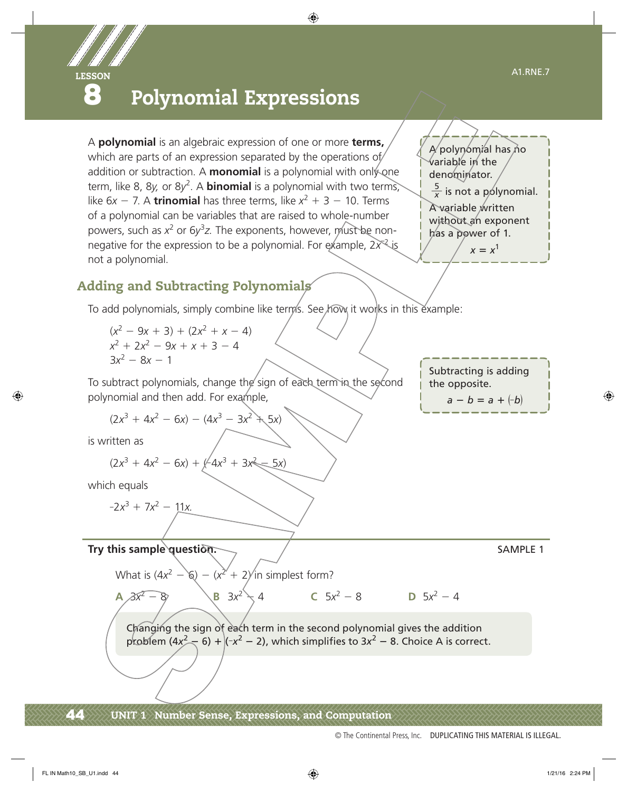

## **8** Polynomial Expressions

A **polynomial** is an algebraic expression of one or more **terms,** which are parts of an expression separated by the operations of/ addition or subtraction. A **monomial** is a polynomial with only one term, like 8, 8y, or 8y<sup>2</sup>. A **binomial** is a polynomial with two terms, like  $6x - 7$ . A **trinomial** has three terms, like  $x^2 + 3 - 10$ . Terms of a polynomial can be variables that are raised to whole-number powers, such as x<sup>2</sup> or 6y<sup>3</sup>z. The exponents, however, must be nonnegative for the expression to be a polynomial. For example,  $2x^2$  is not a polynomial.

A polynomial has no variable in the  
denominator.  

$$
\frac{5}{x}
$$
 is not a polynomial.  
A variable written  
without an exponent  
has a power of 1.  

$$
x = x^1
$$

## Adding and Subtracting Polynomials

To add polynomials, simply combine like terms. See how it works in this example:

 $(x^{2} - 9x + 3) + (2x^{2} + x - 4)$  $x^2 + 2x^2 - 9x + x + 3 - 4$  $3x^2 - 8x - 1$ 

To subtract polynomials, change the sign of each term in the second polynomial and then add. For example,

$$
(2x^3 + 4x^2 - 6x) - (4x^3 - 3x^2 + 5x)
$$

is written as

$$
(2x^3 + 4x^2 - 6x) + (-4x^3 + 3x^2 - 5x)
$$

which equals

$$
-2x^3 + 7x^2 - 11x
$$

**Try this sample question.**  $\sqrt{ }$ 

What is  $(4x^2 - 6) - (x^2 + 2)$  in simplest form?

**A**  $3x^2 - 8$  **B**  $3x^2 + 4$  **C**  $5x^2 - 8$  **D**  $5x^2 - 4$ 

Changing the sign of each term in the second polynomial gives the addition problem  $(4x^2 - 6) + (-x^2 - 2)$ , which simplifies to  $3x^2 - 8$ . Choice A is correct.

Subtracting is adding the opposite.  $a - b = a + (-b)$ 

© The Continental Press, Inc. DUPLICATING THIS MATERIAL IS ILLEGAL.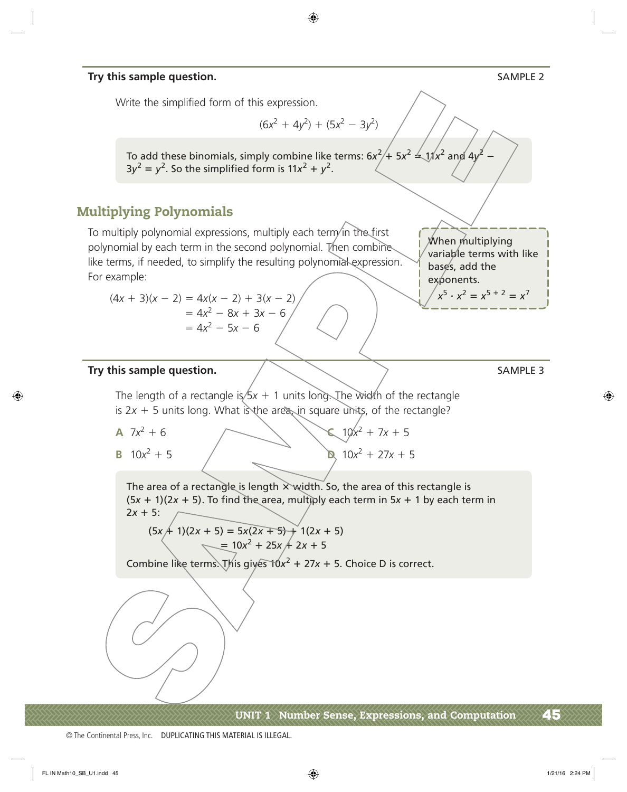#### **Try this sample question.** SAMPLE 2

Write the simplified form of this expression.

$$
(6x^2 + 4y^2) + (5x^2 - 3y^2)
$$

To add these binomials, simply combine like terms:  $6x^2/+5x^2 \leq 11/x^2$  and  $4y^2 - 11$  $3y^2 = y^2$ . So the simplified form is  $11x^2 + y^2$ .

#### Multiplying Polynomials

To multiply polynomial expressions, multiply each term in the first polynomial by each term in the second polynomial. Then combines like terms, if needed, to simplify the resulting polynomial expression. For example:

$$
(4x + 3)(x - 2) = 4x(x - 2) + 3(x - 2)
$$
  
= 4x<sup>2</sup> - 8x + 3x - 6  
= 4x<sup>2</sup> - 5x - 6

When multiplying variable terms with like bases, add the exponents.  $x^5 \cdot x^2 = x^{5+2} = x^7$ 

#### Try this sample question.  $\sqrt{2}$  sample  $\sqrt{3}$  sample 3

The length of a rectangle is/ $5x + 1$  units long. The width of the rectangle is  $2x + 5$  units long. What is the area, in square units, of the rectangle?

A 
$$
7x^2 + 6
$$

 $(10x^2 + 7x + 5)$ **B**  $10x^2 + 5$  <br> **D**  $10x^2 + 27x + 5$ 

The area of a rectangle is length  $\times$  width. So, the area of this rectangle is  $(5x + 1)(2x + 5)$ . To find the area, multiply each term in  $5x + 1$  by each term in  $2x + 5$ :

$$
(5x + 1)(2x + 5) = 5x(2x + 5) + 1(2x + 5)
$$
  
= 10x<sup>2</sup> + 25x + 2x + 5

Combine like terms. This gives  $10x^2 + 27x + 5$ . Choice D is correct.

UNIT 1 Number Sense, Expressions, and Computation  $\overline{\phantom{a}45}$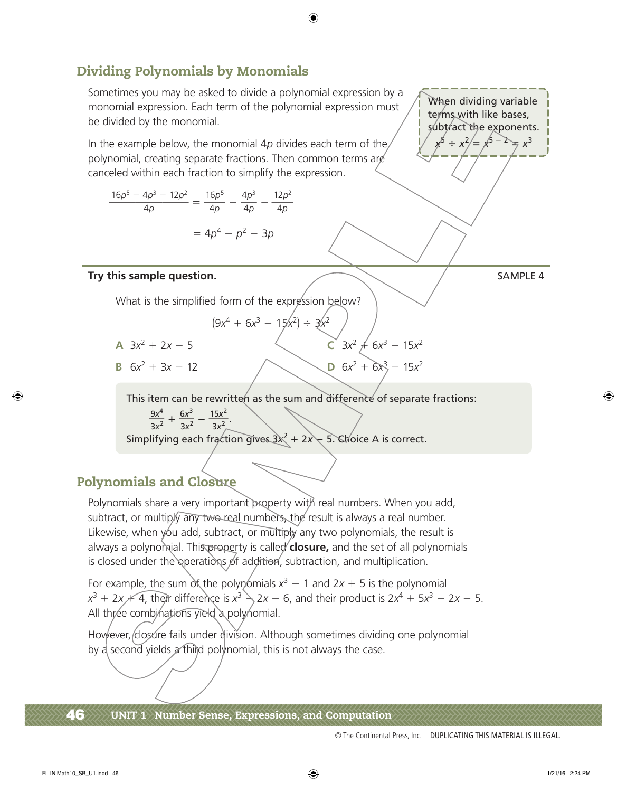## Dividing Polynomials by Monomials

Sometimes you may be asked to divide a polynomial expression by a monomial expression. Each term of the polynomial expression must be divided by the monomial.

In the example below, the monomial 4*p* divides each term of the polynomial, creating separate fractions. Then common terms are

canceled within each fraction to simplify the expression.

\n
$$
\frac{16p^5 - 4p^3 - 12p^2}{4p} = \frac{16p^5}{4p} - \frac{4p^3}{4p} - \frac{12p^2}{4p}
$$
\n
$$
= 4p^4 - p^2 - 3p
$$

#### Try this sample question. Try this sample question.

When dividing variable terms with like bases, subtract the exponents.  $x^{5} \div x^{2}/= x^{5-2} = x^{3}$ 

What is the simplified form of the expression below?

$$
(9x^4 + 6x^3 - 15x^2) \div 3x^2
$$

- **A**  $3x^2 + 2x 5$ <br> **C**  $3x^2 \neq 6x^3 15x^2$
- **B**  $6x^2 + 3x 12$  <br>**D**  $6x^2 + 6x^3 15x^2$

This item can be rewritten as the sum and difference of separate fractions: tem can be rewrit<br>  $\frac{9x^4}{3x^2} + \frac{6x^3}{3x^2} - \frac{15x^2}{3x^2}$ .

9*x*<sup>4</sup>

Simplifying each fraction gives  $3x^2 + 2x - 5$ . Choice A is correct.

## Polynomials and Closure

Polynomials share a very important property with real numbers. When you add, subtract, or multiply any two real numbers, the result is always a real number. Likewise, when you add, subtract, or multiply any two polynomials, the result is always a polynomial. This property is called **closure**, and the set of all polynomials is closed under the operations of addition, subtraction, and multiplication.

For example, the sum of the polynomials  $x^3 - 1$  and  $2x + 5$  is the polynomial  $x^3 + 2x + 4$ , their difference is  $x^3 \searrow 2x - 6$ , and their product is  $2x^4 + 5x^3 - 2x - 5$ . All three combinations yield a polynomial.

However, closure fails under division. Although sometimes dividing one polynomial by a second yields  $\alpha$  third polynomial, this is not always the case.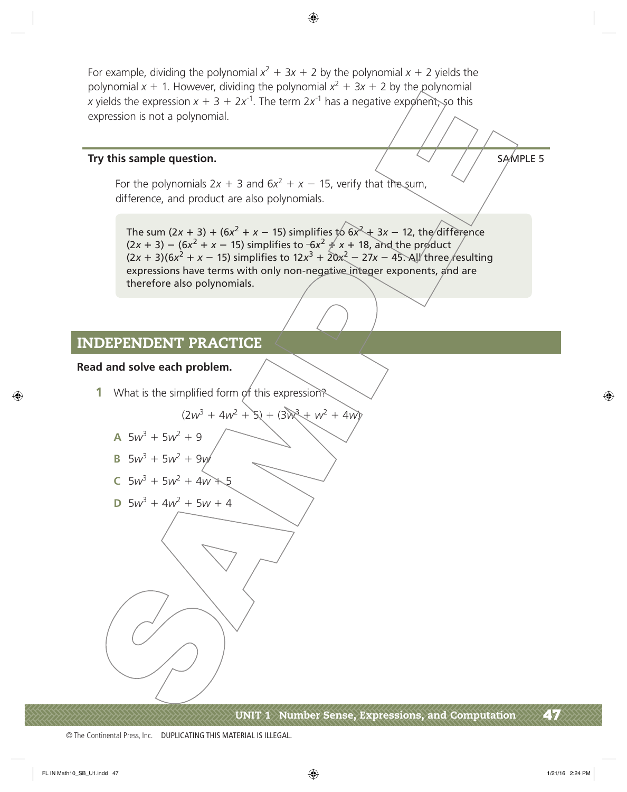For example, dividing the polynomial  $x^2 + 3x + 2$  by the polynomial  $x + 2$  yields the polynomial  $x + 1$ . However, dividing the polynomial  $x^2 + 3x + 2$  by the polynomial *x* yields the expression  $x + 3 + 2x^{-1}$ . The term  $2x^{-1}$  has a negative exponent, so this expression is not a polynomial.

#### **Try this sample question.** Sample **question.** SAMPLE 5

For the polynomials  $2x + 3$  and  $6x^2 + x - 15$ , verify that the sum, difference, and product are also polynomials.

The sum (2*x* + 3) + (6*x*<sup>2</sup> + *x* – 15) simplifies to 6*x*<sup>2</sup> + 3*x* – 12, the difference  $(2x + 3) - (6x^2 + x - 15)$  simplifies to  $-6x^2 \neq x + 18$ , and the product  $(2x + 3)(6x<sup>2</sup> + x - 15)$  simplifies to  $12x<sup>3</sup> + 20x<sup>2</sup> - 27x - 45$ . All three resulting expressions have terms with only non-negative integer exponents, and are therefore also polynomials.

#### INDEPENDENT PRACTICE

#### **Read and solve each problem.**

**1** What is the simplified form of this expression?

$$
(2w^3 + 4w^2 + 5) + (3w^3 + w^2 + 4w)
$$

**A**  $5w^3 + 5w^2 + 9$ 

**B** 
$$
5w^3 + 5w^2 + 9w
$$

C 
$$
5w^3 + 5w^2 + 4w + 5
$$

**D** 
$$
5w^3 + 4w^2 + 5w + 4
$$

UNIT 1 Number Sense, Expressions, and Computation  $\mathcal{A}\mathcal{I}$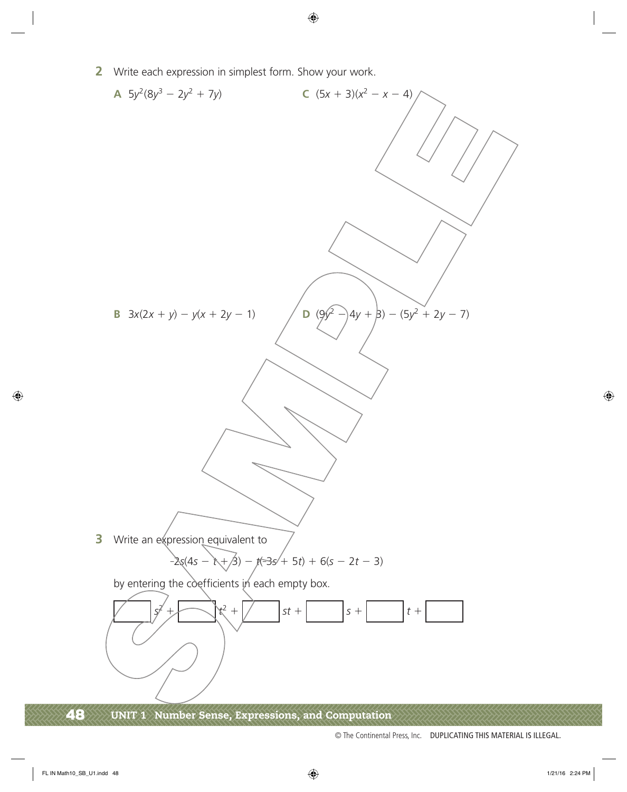**2** Write each expression in simplest form. Show your work.



48 UNIT 1 Number Sense, Expressions, and Computation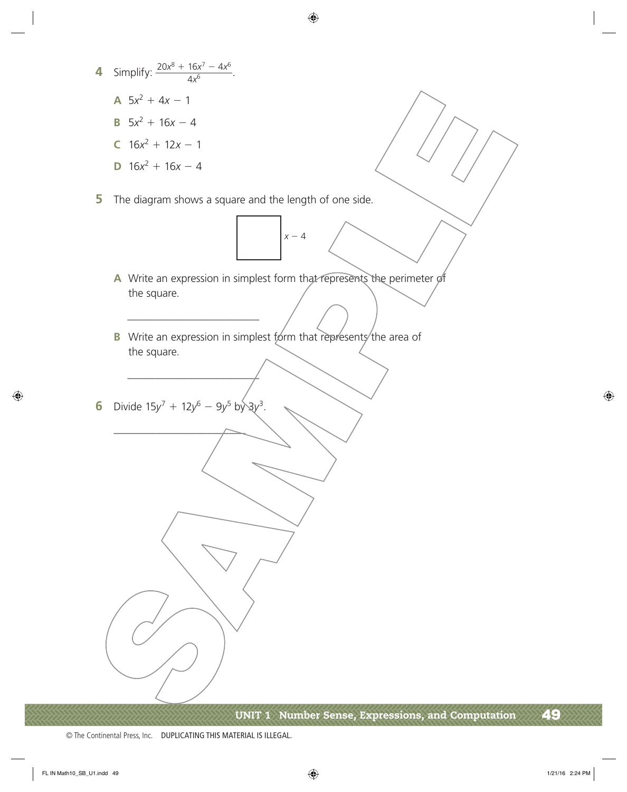**4** Simplify:  $\frac{20x^8 + 16x^7 - 4x^6}{4x^6}$  $\frac{20x^8 + 16x^7 - 4x^6}{4x^6}$ . **A**  $5x^2 + 4x - 1$ **B**  $5x^2 + 16x - 4$ **C**  $16x^2 + 12x - 1$ **D**  $16x^2 + 16x - 4$ **5** The diagram shows a square and the length of one side.  $x - 4$ **A** Write an expression in simplest form that represents the perimeter of the square. \_\_\_\_\_\_\_\_\_\_\_\_\_\_\_\_\_\_\_\_\_\_\_\_ **B** Write an expression in simplest form that represents the area of the square. \_\_\_\_\_\_\_\_\_\_\_\_\_\_\_\_\_\_\_\_\_\_\_\_ **6** Divide  $15y^7 + 12y^6 - 9y^5$  by  $3y^3$ .  $\overline{\phantom{a}}$ 

UNIT 1 Number Sense, Expressions, and Computation 49